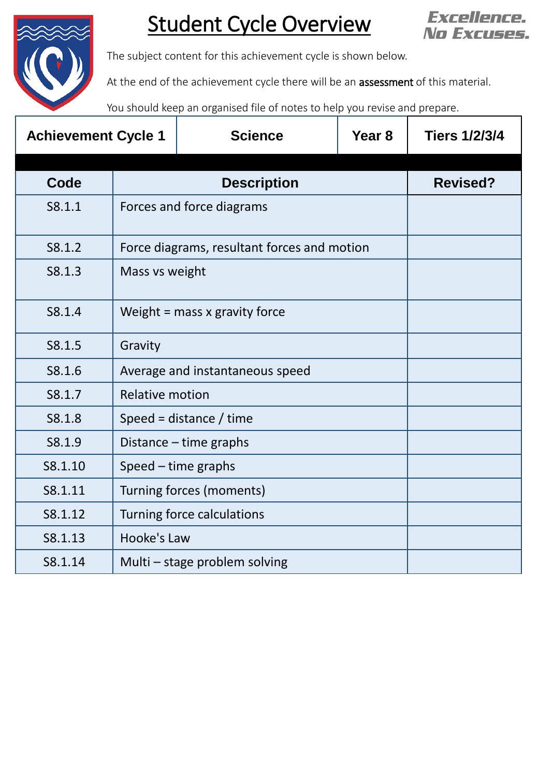

## Student Cycle Overview



The subject content for this achievement cycle is shown below.

At the end of the achievement cycle there will be an **assessment** of this material.

You should keep an organised file of notes to help you revise and prepare.

| <b>Achievement Cycle 1</b> |                                             | <b>Science</b>  | Year <sub>8</sub> | <b>Tiers 1/2/3/4</b> |
|----------------------------|---------------------------------------------|-----------------|-------------------|----------------------|
| Code                       |                                             | <b>Revised?</b> |                   |                      |
| S8.1.1                     | Forces and force diagrams                   |                 |                   |                      |
| S8.1.2                     | Force diagrams, resultant forces and motion |                 |                   |                      |
| S8.1.3                     | Mass vs weight                              |                 |                   |                      |
| S8.1.4                     | Weight $=$ mass x gravity force             |                 |                   |                      |
| S8.1.5                     | Gravity                                     |                 |                   |                      |
| S8.1.6                     | Average and instantaneous speed             |                 |                   |                      |
| S8.1.7                     | <b>Relative motion</b>                      |                 |                   |                      |
| S8.1.8                     | Speed = distance / time                     |                 |                   |                      |
| S8.1.9                     | Distance - time graphs                      |                 |                   |                      |
| S8.1.10                    | Speed - time graphs                         |                 |                   |                      |
| S8.1.11                    | Turning forces (moments)                    |                 |                   |                      |
| S8.1.12                    | Turning force calculations                  |                 |                   |                      |
| S8.1.13                    | Hooke's Law                                 |                 |                   |                      |
| S8.1.14                    | Multi - stage problem solving               |                 |                   |                      |